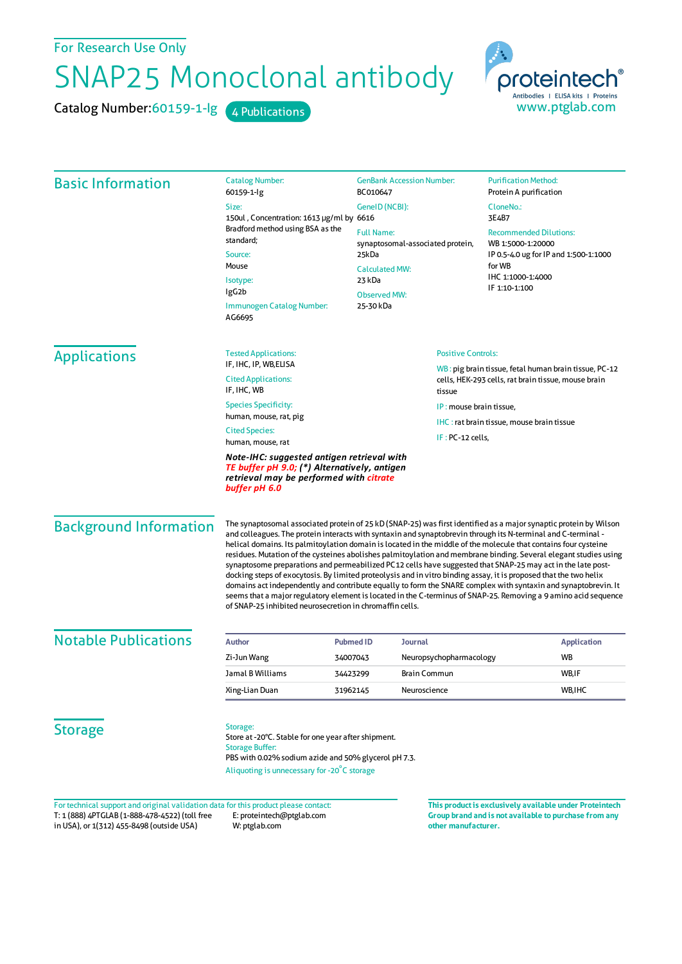For Research Use Only

## SNAP25 Monoclonal antibody

Catalog Number: 60159-1-lg 4 Publications

proteintech Antibodies | ELISA kits | Proteins www.ptglab.com

Basic Information Catalog Number: 60159-1-Ig Size: 150ul , Concentration: 1613 μg/ml by 6616 Bradford method using BSA as the standard; Source: Mouse Isotype: IgG2b Immunogen Catalog Number: AG6695 GenBank Accession Number: BC010647 GeneID(NCBI): Full Name: synaptosomal-associated protein, 25kDa CalculatedMW: 23 kDa Observed MW: 25-30 kDa **Purification Method:** Protein A purification CloneNo.: 3E4B7 Recommended Dilutions: WB 1:5000-1:20000 IP 0.5-4.0 ug for IP and 1:500-1:1000 forWB IHC 1:1000-1:4000 IF 1:10-1:100 Applications Tested Applications: IF, IHC, IP, WB,ELISA Cited Applications: IF IHC WR Species Specificity: human, mouse, rat, pig Cited Species: human, mouse, rat *Note-IHC: suggested antigen retrieval with TE buffer pH 9.0; (\*) Alternatively, antigen retrieval may be performed with citrate buffer pH 6.0* Positive Controls: WB : pig brain tissue, fetal human brain tissue, PC-12 cells, HEK-293 cells, rat brain tissue, mouse brain tissue IP : mouse brain tissue, IHC : rat brain tissue, mouse brain tissue IF : PC-12 cells, Background Information The synaptosomal associated protein of 25 kD(SNAP-25) wasfirst identified as a majorsynaptic protein by Wilson and colleagues. The protein interacts with syntaxin and synaptobrevin through its N-terminal and C-terminal helical domains. Its palmitoylation domain islocated in the middle ofthe molecule that containsfour cysteine residues. Mutation of the cysteines abolishes palmitoylation and membrane binding. Several elegant studies using synaptosome preparations and permeabilized PC12 cells have suggested that SNAP-25may act in the late postdocking steps of exocytosis. By limited proteolysis and in vitro binding assay, it is proposed that the two helix domains act independently and contribute equally to form the SNARE complex with syntaxin and synaptobrevin. It seems that a major regulatory element is located in the C-terminus of SNAP-25. Removing a 9 amino acid sequence of SNAP-25 inhibited neurosecretion in chromaffin cells. **Notable Publications Author PubmedID Journal Application** Zi-JunWang 34007043 Neuropsychopharmacology WB Jamal B Williams **34423299** Brain Commun Brain Commun B WB, IF Xing-Lian Duan 31962145 Neuroscience WB,IHC **Storage** Storage: Store at -20°C. Stable for one year after shipment. Storage Buffer: PBS with 0.02% sodium azide and 50% glycerol pH 7.3. Aliquoting is unnecessary for -20<sup>°</sup>C storage Fortechnical support and original validation data forthis product please contact: **This productis exclusively available under Proteintech**

T: 1 (888) 4PTGLAB (1-888-478-4522) (toll free in USA), or 1(312) 455-8498 (outside USA) E: proteintech@ptglab.com W: ptglab.com

**Group brand and is not available to purchase from any other manufacturer.**